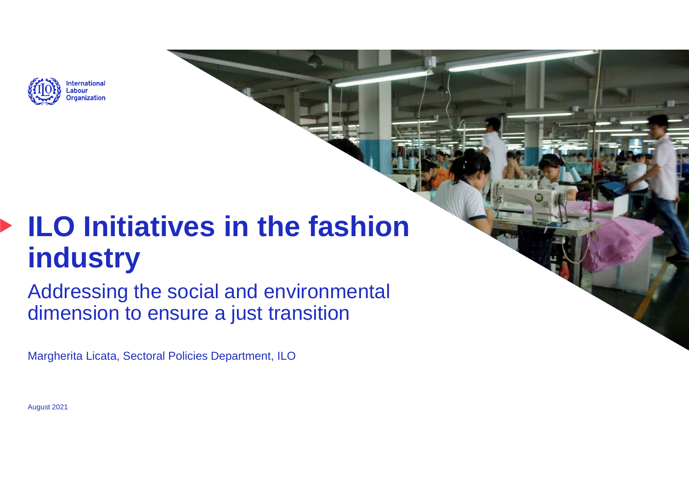

# **ILO Initiatives in the fashion industry**

 Addressing the social and environmental dimension to ensure a just transition

Margherita Licata, Sectoral Policies Department, ILO

August 2021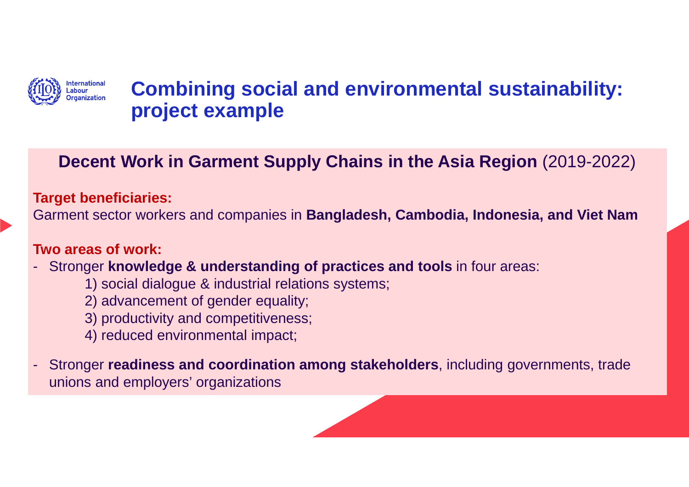

## **Combining social and environmental sustainability: project example**

## **Decent Work in Garment Supply Chains in the Asia Region** (2019-2022)

#### **Target beneficiaries:**

Garment sector workers and companies in **Bangladesh, Cambodia, Indonesia, and Viet Nam**

#### **Two areas of work:**

- - Stronger **knowledge & understanding of practices and tools** in four areas:
	- 1) social dialogue & industrial relations systems;
	- 2) advancement of gender equality;
	- 3) productivity and competitiveness;
	- 4) reduced environmental impact;
- - Stronger **readiness and coordination among stakeholders**, including governments, trade unions and employers' organizations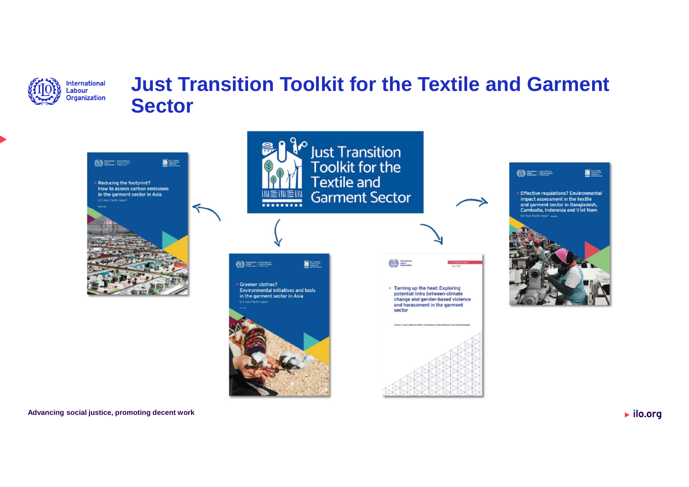

## **Just Transition Toolkit for the Textile and GarmentSector**







**Advancing social justice, promoting decent work**

 $\blacktriangleright$  ilo.org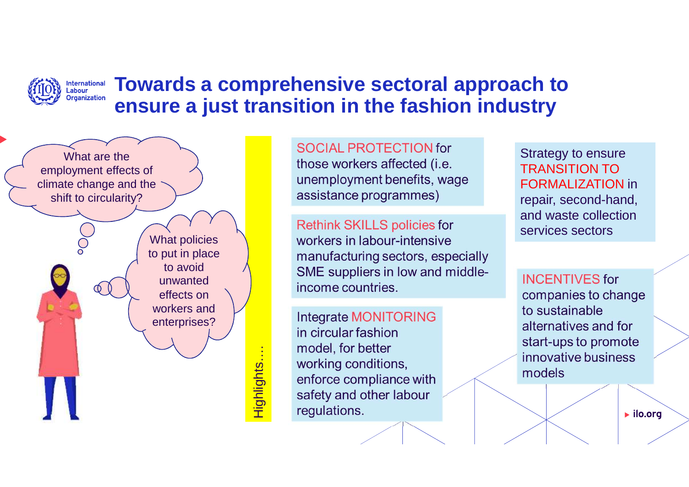#### **International**<br>Labour **Towards a comprehensive sectoral approach to Organization ensure a just transition in the fashion industry**

What are the employment effects of climate change and the shift to circularity?

> What policies to put in place to avoid unwanted effects on workers and enterprises?

> > Highlights…. Highlights...

SOCIAL PROTECTION for those workers affected (*i.e.* unemployment benefits, wage assistance programmes)

**Rethink SKILLS policies for** workers in labour-intensive manufacturing sectors, especially SME suppliers in low and middleincome countries.

Integrate MONITORING in circular fashion model, for better working conditions, enforce compliance with safety and other labour requlations.

Strategy to ensure TRANSITION TO FORMALIZATION in repair, second-hand, and waste collection services sectors

**INCENTIVES** for companies to change to sustainable alternatives and for start-ups to promote innovative business models

 $\blacktriangleright$  ilo.org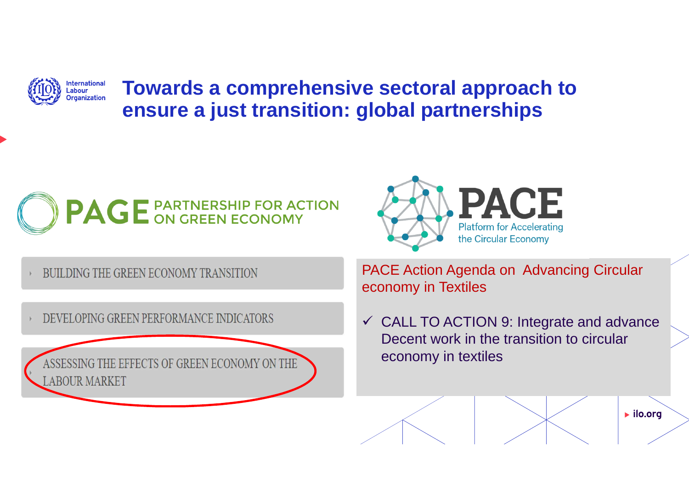**Towards a comprehensive sectoral approach to**  assa:<br>Irganization **ensure a just transition: global partnerships**



BUILDING THE GREEN ECONOMY TRANSITION

International \_abour

DEVELOPING GREEN PERFORMANCE INDICATORS

IE EFFECTS OF GREEN ECONOMY ON THE **ABOUR MARKET** 

**ACE Platform for Accelerating** the Circular Economy

PACE Action Agenda on Advancing Circular economy in Textiles

 $\checkmark$  CALL TO ACTION 9: Integrate and advance Decent work in the transition to circular economy in textiles

 $\blacktriangleright$  ilo.org